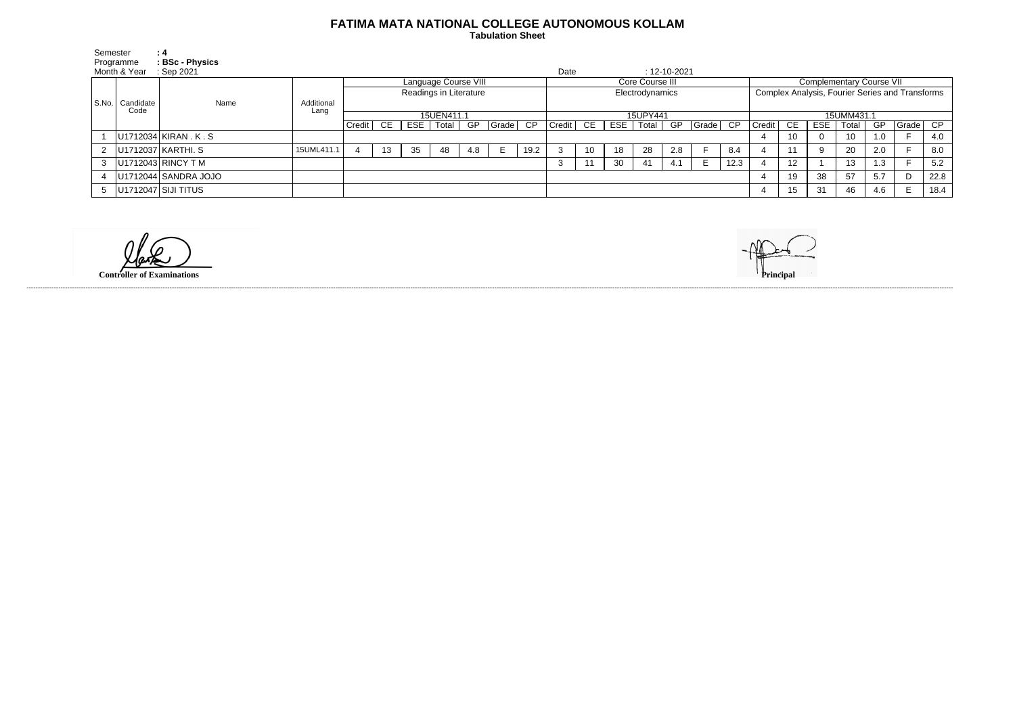## **FATIMA MATA NATIONAL COLLEGE AUTONOMOUS KOLLAM**

 **Tabulation Sheet** 

| Semester     |                           | : 4                      |                    |                        |    |    |             |     |       |                 |                            |    |     |           |     |             |                                                 |        |                 |     |       |     |       |      |
|--------------|---------------------------|--------------------------|--------------------|------------------------|----|----|-------------|-----|-------|-----------------|----------------------------|----|-----|-----------|-----|-------------|-------------------------------------------------|--------|-----------------|-----|-------|-----|-------|------|
| Programme    |                           | <b>BSc - Physics</b>     |                    |                        |    |    |             |     |       |                 |                            |    |     |           |     |             |                                                 |        |                 |     |       |     |       |      |
| Month & Year |                           | Sep 2021                 |                    |                        |    |    |             |     |       |                 | Date<br>$: 12 - 10 - 2021$ |    |     |           |     |             |                                                 |        |                 |     |       |     |       |      |
|              | S.No.   Candidate<br>Code | Name                     |                    | Language Course VIII   |    |    |             |     |       | Core Course III |                            |    |     |           |     |             | <b>Complementary Course VII</b>                 |        |                 |     |       |     |       |      |
|              |                           |                          |                    | Readings in Literature |    |    |             |     |       | Electrodynamics |                            |    |     |           |     |             | Complex Analysis, Fourier Series and Transforms |        |                 |     |       |     |       |      |
|              |                           |                          | Additional<br>Lang |                        |    |    |             |     |       |                 |                            |    |     |           |     |             |                                                 |        |                 |     |       |     |       |      |
|              |                           |                          |                    | 15UEN411.1             |    |    |             |     |       | 15UPY441        |                            |    |     |           |     |             | 15UMM431.1                                      |        |                 |     |       |     |       |      |
|              |                           |                          |                    | Credit                 | CE |    | ESE   Total | GP  | Grade | CP              | Credit                     | CE | ESE | Total $ $ |     | GP Grade CP |                                                 | Credit | CE.             | ESE | Total | GP  | Grade | CP   |
|              |                           | U1712034 KIRAN . K . S   |                    |                        |    |    |             |     |       |                 |                            |    |     |           |     |             |                                                 |        | 10              |     | 10    | 1.0 |       | 4.0  |
|              |                           | 2   U1712037   KARTHI. S | 15UML411.1         |                        | 13 | 35 | 48          | 4.8 |       | 19.2            |                            | 10 | 18  | 28        | 2.8 |             | 8.4                                             |        |                 |     | 20    | 2.0 |       | 8.0  |
|              |                           | $ U1712043 $ RINCY T M   |                    |                        |    |    |             |     |       |                 | -3                         | 11 | 30  | 41        | 4.1 | E.          | 12.3                                            |        | 12 <sup>°</sup> |     | 13    | 1.3 |       | 5.2  |
|              |                           | U1712044 SANDRA JOJO     |                    |                        |    |    |             |     |       |                 |                            |    |     |           |     |             |                                                 | 4      | 19              | 38  | 57    | 5.7 |       | 22.8 |
|              |                           | 5   U1712047 SIJI TITUS  |                    |                        |    |    |             |     |       |                 |                            |    |     |           |     |             |                                                 | 4      | 15              | 31  | 46    | 4.6 | E.    | 18.4 |

**Controller of Examinations Principal**



------------------------------------------------------------------------------------------------------------------------------------------------------------------------------------------------------------------------------------------------------------------------------------------------------------------------------------------------------------------------------------------------------------------------